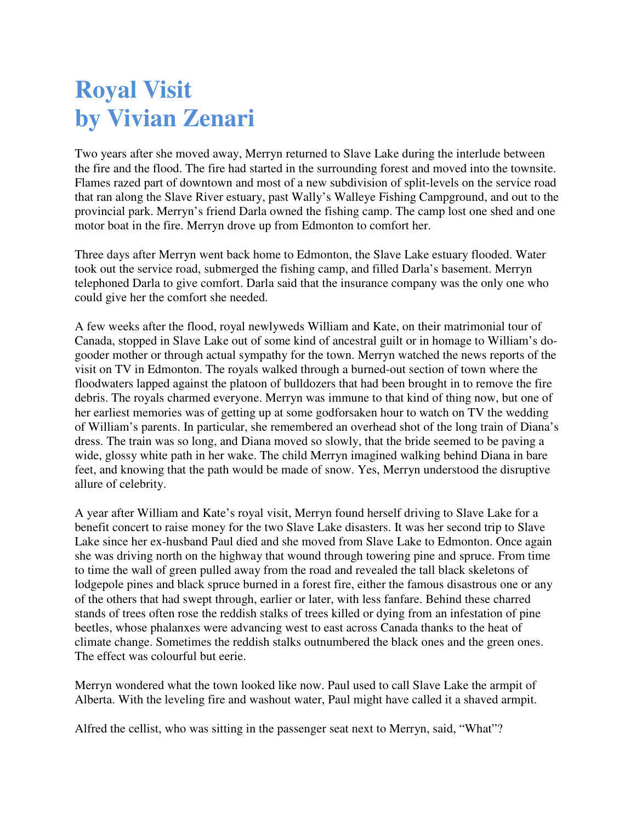## **Royal Visit by Vivian Zenari**

Two years after she moved away, Merryn returned to Slave Lake during the interlude between the fire and the flood. The fire had started in the surrounding forest and moved into the townsite. Flames razed part of downtown and most of a new subdivision of split-levels on the service road that ran along the Slave River estuary, past Wally's Walleye Fishing Campground, and out to the provincial park. Merryn's friend Darla owned the fishing camp. The camp lost one shed and one motor boat in the fire. Merryn drove up from Edmonton to comfort her.

Three days after Merryn went back home to Edmonton, the Slave Lake estuary flooded. Water took out the service road, submerged the fishing camp, and filled Darla's basement. Merryn telephoned Darla to give comfort. Darla said that the insurance company was the only one who could give her the comfort she needed.

A few weeks after the flood, royal newlyweds William and Kate, on their matrimonial tour of Canada, stopped in Slave Lake out of some kind of ancestral guilt or in homage to William's dogooder mother or through actual sympathy for the town. Merryn watched the news reports of the visit on TV in Edmonton. The royals walked through a burned-out section of town where the floodwaters lapped against the platoon of bulldozers that had been brought in to remove the fire debris. The royals charmed everyone. Merryn was immune to that kind of thing now, but one of her earliest memories was of getting up at some godforsaken hour to watch on TV the wedding of William's parents. In particular, she remembered an overhead shot of the long train of Diana's dress. The train was so long, and Diana moved so slowly, that the bride seemed to be paving a wide, glossy white path in her wake. The child Merryn imagined walking behind Diana in bare feet, and knowing that the path would be made of snow. Yes, Merryn understood the disruptive allure of celebrity.

A year after William and Kate's royal visit, Merryn found herself driving to Slave Lake for a benefit concert to raise money for the two Slave Lake disasters. It was her second trip to Slave Lake since her ex-husband Paul died and she moved from Slave Lake to Edmonton. Once again she was driving north on the highway that wound through towering pine and spruce. From time to time the wall of green pulled away from the road and revealed the tall black skeletons of lodgepole pines and black spruce burned in a forest fire, either the famous disastrous one or any of the others that had swept through, earlier or later, with less fanfare. Behind these charred stands of trees often rose the reddish stalks of trees killed or dying from an infestation of pine beetles, whose phalanxes were advancing west to east across Canada thanks to the heat of climate change. Sometimes the reddish stalks outnumbered the black ones and the green ones. The effect was colourful but eerie.

Merryn wondered what the town looked like now. Paul used to call Slave Lake the armpit of Alberta. With the leveling fire and washout water, Paul might have called it a shaved armpit.

Alfred the cellist, who was sitting in the passenger seat next to Merryn, said, "What"?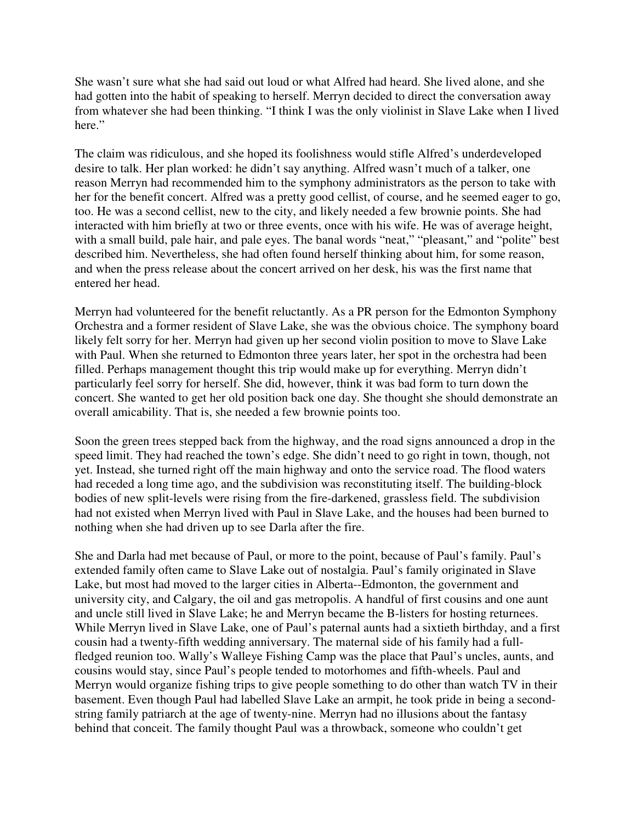She wasn't sure what she had said out loud or what Alfred had heard. She lived alone, and she had gotten into the habit of speaking to herself. Merryn decided to direct the conversation away from whatever she had been thinking. "I think I was the only violinist in Slave Lake when I lived here."

The claim was ridiculous, and she hoped its foolishness would stifle Alfred's underdeveloped desire to talk. Her plan worked: he didn't say anything. Alfred wasn't much of a talker, one reason Merryn had recommended him to the symphony administrators as the person to take with her for the benefit concert. Alfred was a pretty good cellist, of course, and he seemed eager to go, too. He was a second cellist, new to the city, and likely needed a few brownie points. She had interacted with him briefly at two or three events, once with his wife. He was of average height, with a small build, pale hair, and pale eyes. The banal words "neat," "pleasant," and "polite" best described him. Nevertheless, she had often found herself thinking about him, for some reason, and when the press release about the concert arrived on her desk, his was the first name that entered her head.

Merryn had volunteered for the benefit reluctantly. As a PR person for the Edmonton Symphony Orchestra and a former resident of Slave Lake, she was the obvious choice. The symphony board likely felt sorry for her. Merryn had given up her second violin position to move to Slave Lake with Paul. When she returned to Edmonton three years later, her spot in the orchestra had been filled. Perhaps management thought this trip would make up for everything. Merryn didn't particularly feel sorry for herself. She did, however, think it was bad form to turn down the concert. She wanted to get her old position back one day. She thought she should demonstrate an overall amicability. That is, she needed a few brownie points too.

Soon the green trees stepped back from the highway, and the road signs announced a drop in the speed limit. They had reached the town's edge. She didn't need to go right in town, though, not yet. Instead, she turned right off the main highway and onto the service road. The flood waters had receded a long time ago, and the subdivision was reconstituting itself. The building-block bodies of new split-levels were rising from the fire-darkened, grassless field. The subdivision had not existed when Merryn lived with Paul in Slave Lake, and the houses had been burned to nothing when she had driven up to see Darla after the fire.

She and Darla had met because of Paul, or more to the point, because of Paul's family. Paul's extended family often came to Slave Lake out of nostalgia. Paul's family originated in Slave Lake, but most had moved to the larger cities in Alberta--Edmonton, the government and university city, and Calgary, the oil and gas metropolis. A handful of first cousins and one aunt and uncle still lived in Slave Lake; he and Merryn became the B-listers for hosting returnees. While Merryn lived in Slave Lake, one of Paul's paternal aunts had a sixtieth birthday, and a first cousin had a twenty-fifth wedding anniversary. The maternal side of his family had a fullfledged reunion too. Wally's Walleye Fishing Camp was the place that Paul's uncles, aunts, and cousins would stay, since Paul's people tended to motorhomes and fifth-wheels. Paul and Merryn would organize fishing trips to give people something to do other than watch TV in their basement. Even though Paul had labelled Slave Lake an armpit, he took pride in being a secondstring family patriarch at the age of twenty-nine. Merryn had no illusions about the fantasy behind that conceit. The family thought Paul was a throwback, someone who couldn't get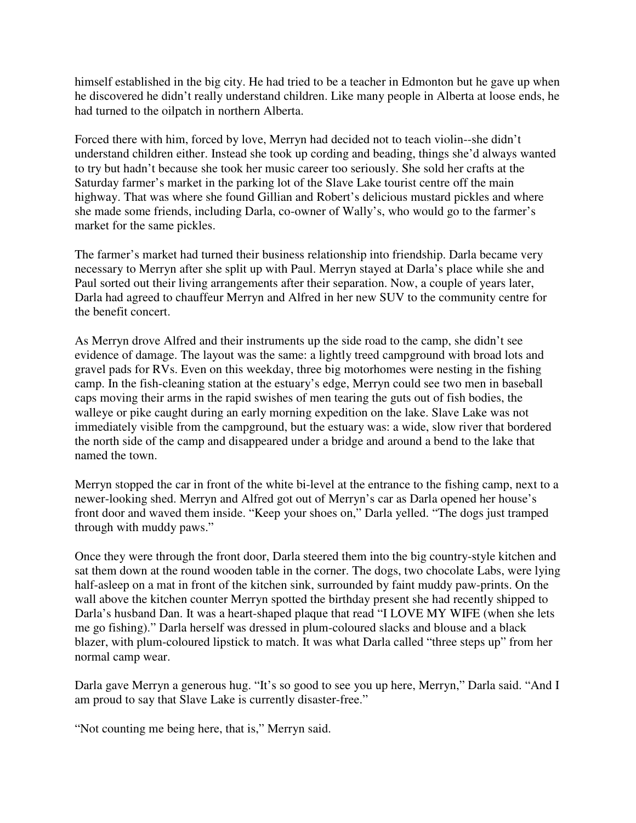himself established in the big city. He had tried to be a teacher in Edmonton but he gave up when he discovered he didn't really understand children. Like many people in Alberta at loose ends, he had turned to the oilpatch in northern Alberta.

Forced there with him, forced by love, Merryn had decided not to teach violin--she didn't understand children either. Instead she took up cording and beading, things she'd always wanted to try but hadn't because she took her music career too seriously. She sold her crafts at the Saturday farmer's market in the parking lot of the Slave Lake tourist centre off the main highway. That was where she found Gillian and Robert's delicious mustard pickles and where she made some friends, including Darla, co-owner of Wally's, who would go to the farmer's market for the same pickles.

The farmer's market had turned their business relationship into friendship. Darla became very necessary to Merryn after she split up with Paul. Merryn stayed at Darla's place while she and Paul sorted out their living arrangements after their separation. Now, a couple of years later, Darla had agreed to chauffeur Merryn and Alfred in her new SUV to the community centre for the benefit concert.

As Merryn drove Alfred and their instruments up the side road to the camp, she didn't see evidence of damage. The layout was the same: a lightly treed campground with broad lots and gravel pads for RVs. Even on this weekday, three big motorhomes were nesting in the fishing camp. In the fish-cleaning station at the estuary's edge, Merryn could see two men in baseball caps moving their arms in the rapid swishes of men tearing the guts out of fish bodies, the walleye or pike caught during an early morning expedition on the lake. Slave Lake was not immediately visible from the campground, but the estuary was: a wide, slow river that bordered the north side of the camp and disappeared under a bridge and around a bend to the lake that named the town.

Merryn stopped the car in front of the white bi-level at the entrance to the fishing camp, next to a newer-looking shed. Merryn and Alfred got out of Merryn's car as Darla opened her house's front door and waved them inside. "Keep your shoes on," Darla yelled. "The dogs just tramped through with muddy paws."

Once they were through the front door, Darla steered them into the big country-style kitchen and sat them down at the round wooden table in the corner. The dogs, two chocolate Labs, were lying half-asleep on a mat in front of the kitchen sink, surrounded by faint muddy paw-prints. On the wall above the kitchen counter Merryn spotted the birthday present she had recently shipped to Darla's husband Dan. It was a heart-shaped plaque that read "I LOVE MY WIFE (when she lets me go fishing)." Darla herself was dressed in plum-coloured slacks and blouse and a black blazer, with plum-coloured lipstick to match. It was what Darla called "three steps up" from her normal camp wear.

Darla gave Merryn a generous hug. "It's so good to see you up here, Merryn," Darla said. "And I am proud to say that Slave Lake is currently disaster-free."

"Not counting me being here, that is," Merryn said.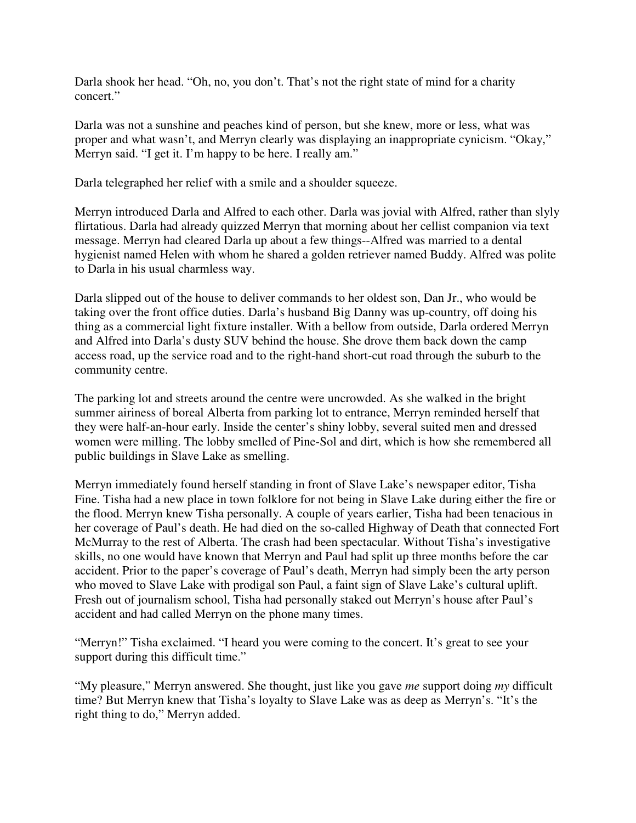Darla shook her head. "Oh, no, you don't. That's not the right state of mind for a charity concert."

Darla was not a sunshine and peaches kind of person, but she knew, more or less, what was proper and what wasn't, and Merryn clearly was displaying an inappropriate cynicism. "Okay," Merryn said. "I get it. I'm happy to be here. I really am."

Darla telegraphed her relief with a smile and a shoulder squeeze.

Merryn introduced Darla and Alfred to each other. Darla was jovial with Alfred, rather than slyly flirtatious. Darla had already quizzed Merryn that morning about her cellist companion via text message. Merryn had cleared Darla up about a few things--Alfred was married to a dental hygienist named Helen with whom he shared a golden retriever named Buddy. Alfred was polite to Darla in his usual charmless way.

Darla slipped out of the house to deliver commands to her oldest son, Dan Jr., who would be taking over the front office duties. Darla's husband Big Danny was up-country, off doing his thing as a commercial light fixture installer. With a bellow from outside, Darla ordered Merryn and Alfred into Darla's dusty SUV behind the house. She drove them back down the camp access road, up the service road and to the right-hand short-cut road through the suburb to the community centre.

The parking lot and streets around the centre were uncrowded. As she walked in the bright summer airiness of boreal Alberta from parking lot to entrance, Merryn reminded herself that they were half-an-hour early. Inside the center's shiny lobby, several suited men and dressed women were milling. The lobby smelled of Pine-Sol and dirt, which is how she remembered all public buildings in Slave Lake as smelling.

Merryn immediately found herself standing in front of Slave Lake's newspaper editor, Tisha Fine. Tisha had a new place in town folklore for not being in Slave Lake during either the fire or the flood. Merryn knew Tisha personally. A couple of years earlier, Tisha had been tenacious in her coverage of Paul's death. He had died on the so-called Highway of Death that connected Fort McMurray to the rest of Alberta. The crash had been spectacular. Without Tisha's investigative skills, no one would have known that Merryn and Paul had split up three months before the car accident. Prior to the paper's coverage of Paul's death, Merryn had simply been the arty person who moved to Slave Lake with prodigal son Paul, a faint sign of Slave Lake's cultural uplift. Fresh out of journalism school, Tisha had personally staked out Merryn's house after Paul's accident and had called Merryn on the phone many times.

"Merryn!" Tisha exclaimed. "I heard you were coming to the concert. It's great to see your support during this difficult time."

"My pleasure," Merryn answered. She thought, just like you gave *me* support doing *my* difficult time? But Merryn knew that Tisha's loyalty to Slave Lake was as deep as Merryn's. "It's the right thing to do," Merryn added.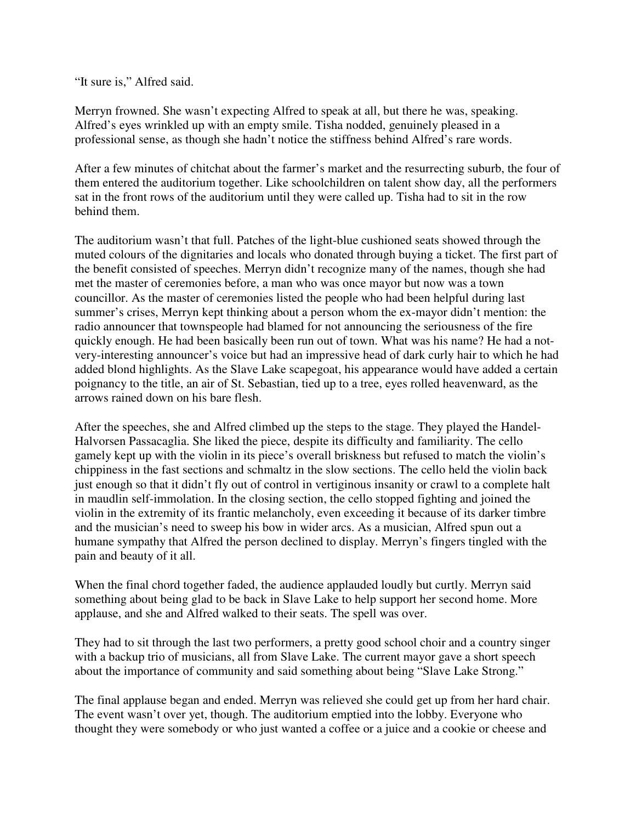"It sure is," Alfred said.

Merryn frowned. She wasn't expecting Alfred to speak at all, but there he was, speaking. Alfred's eyes wrinkled up with an empty smile. Tisha nodded, genuinely pleased in a professional sense, as though she hadn't notice the stiffness behind Alfred's rare words.

After a few minutes of chitchat about the farmer's market and the resurrecting suburb, the four of them entered the auditorium together. Like schoolchildren on talent show day, all the performers sat in the front rows of the auditorium until they were called up. Tisha had to sit in the row behind them.

The auditorium wasn't that full. Patches of the light-blue cushioned seats showed through the muted colours of the dignitaries and locals who donated through buying a ticket. The first part of the benefit consisted of speeches. Merryn didn't recognize many of the names, though she had met the master of ceremonies before, a man who was once mayor but now was a town councillor. As the master of ceremonies listed the people who had been helpful during last summer's crises, Merryn kept thinking about a person whom the ex-mayor didn't mention: the radio announcer that townspeople had blamed for not announcing the seriousness of the fire quickly enough. He had been basically been run out of town. What was his name? He had a notvery-interesting announcer's voice but had an impressive head of dark curly hair to which he had added blond highlights. As the Slave Lake scapegoat, his appearance would have added a certain poignancy to the title, an air of St. Sebastian, tied up to a tree, eyes rolled heavenward, as the arrows rained down on his bare flesh.

After the speeches, she and Alfred climbed up the steps to the stage. They played the Handel-Halvorsen Passacaglia. She liked the piece, despite its difficulty and familiarity. The cello gamely kept up with the violin in its piece's overall briskness but refused to match the violin's chippiness in the fast sections and schmaltz in the slow sections. The cello held the violin back just enough so that it didn't fly out of control in vertiginous insanity or crawl to a complete halt in maudlin self-immolation. In the closing section, the cello stopped fighting and joined the violin in the extremity of its frantic melancholy, even exceeding it because of its darker timbre and the musician's need to sweep his bow in wider arcs. As a musician, Alfred spun out a humane sympathy that Alfred the person declined to display. Merryn's fingers tingled with the pain and beauty of it all.

When the final chord together faded, the audience applauded loudly but curtly. Merryn said something about being glad to be back in Slave Lake to help support her second home. More applause, and she and Alfred walked to their seats. The spell was over.

They had to sit through the last two performers, a pretty good school choir and a country singer with a backup trio of musicians, all from Slave Lake. The current mayor gave a short speech about the importance of community and said something about being "Slave Lake Strong."

The final applause began and ended. Merryn was relieved she could get up from her hard chair. The event wasn't over yet, though. The auditorium emptied into the lobby. Everyone who thought they were somebody or who just wanted a coffee or a juice and a cookie or cheese and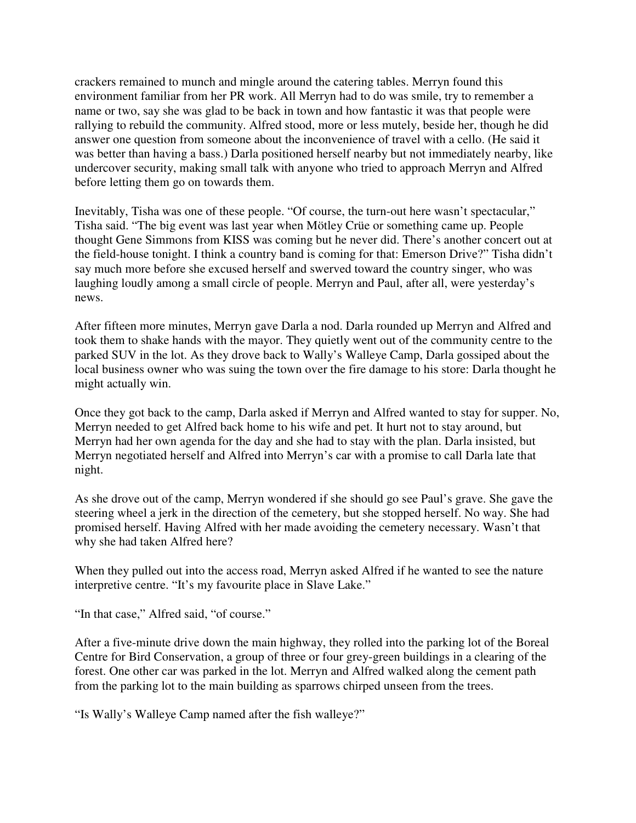crackers remained to munch and mingle around the catering tables. Merryn found this environment familiar from her PR work. All Merryn had to do was smile, try to remember a name or two, say she was glad to be back in town and how fantastic it was that people were rallying to rebuild the community. Alfred stood, more or less mutely, beside her, though he did answer one question from someone about the inconvenience of travel with a cello. (He said it was better than having a bass.) Darla positioned herself nearby but not immediately nearby, like undercover security, making small talk with anyone who tried to approach Merryn and Alfred before letting them go on towards them.

Inevitably, Tisha was one of these people. "Of course, the turn-out here wasn't spectacular," Tisha said. "The big event was last year when Mötley Crüe or something came up. People thought Gene Simmons from KISS was coming but he never did. There's another concert out at the field-house tonight. I think a country band is coming for that: Emerson Drive?" Tisha didn't say much more before she excused herself and swerved toward the country singer, who was laughing loudly among a small circle of people. Merryn and Paul, after all, were yesterday's news.

After fifteen more minutes, Merryn gave Darla a nod. Darla rounded up Merryn and Alfred and took them to shake hands with the mayor. They quietly went out of the community centre to the parked SUV in the lot. As they drove back to Wally's Walleye Camp, Darla gossiped about the local business owner who was suing the town over the fire damage to his store: Darla thought he might actually win.

Once they got back to the camp, Darla asked if Merryn and Alfred wanted to stay for supper. No, Merryn needed to get Alfred back home to his wife and pet. It hurt not to stay around, but Merryn had her own agenda for the day and she had to stay with the plan. Darla insisted, but Merryn negotiated herself and Alfred into Merryn's car with a promise to call Darla late that night.

As she drove out of the camp, Merryn wondered if she should go see Paul's grave. She gave the steering wheel a jerk in the direction of the cemetery, but she stopped herself. No way. She had promised herself. Having Alfred with her made avoiding the cemetery necessary. Wasn't that why she had taken Alfred here?

When they pulled out into the access road, Merryn asked Alfred if he wanted to see the nature interpretive centre. "It's my favourite place in Slave Lake."

"In that case," Alfred said, "of course."

After a five-minute drive down the main highway, they rolled into the parking lot of the Boreal Centre for Bird Conservation, a group of three or four grey-green buildings in a clearing of the forest. One other car was parked in the lot. Merryn and Alfred walked along the cement path from the parking lot to the main building as sparrows chirped unseen from the trees.

"Is Wally's Walleye Camp named after the fish walleye?"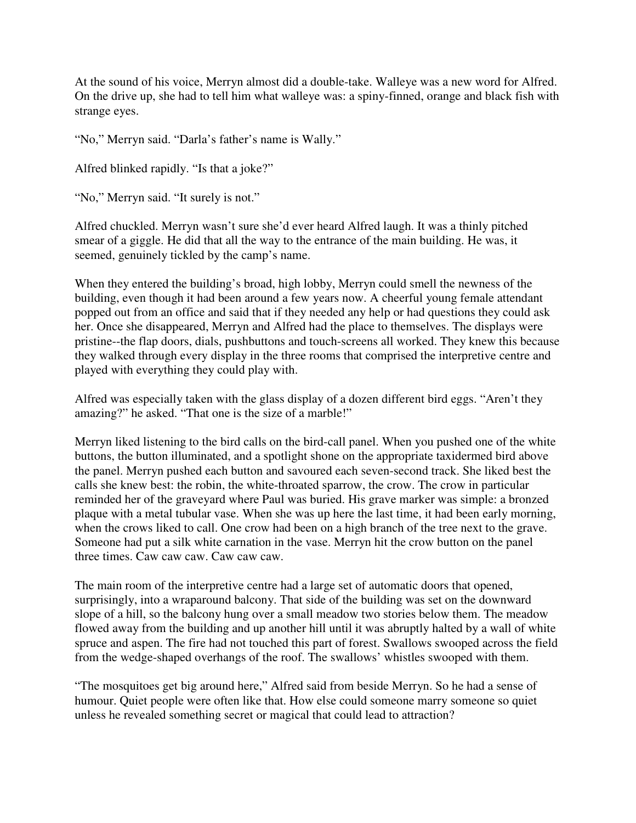At the sound of his voice, Merryn almost did a double-take. Walleye was a new word for Alfred. On the drive up, she had to tell him what walleye was: a spiny-finned, orange and black fish with strange eyes.

"No," Merryn said. "Darla's father's name is Wally."

Alfred blinked rapidly. "Is that a joke?"

"No," Merryn said. "It surely is not."

Alfred chuckled. Merryn wasn't sure she'd ever heard Alfred laugh. It was a thinly pitched smear of a giggle. He did that all the way to the entrance of the main building. He was, it seemed, genuinely tickled by the camp's name.

When they entered the building's broad, high lobby, Merryn could smell the newness of the building, even though it had been around a few years now. A cheerful young female attendant popped out from an office and said that if they needed any help or had questions they could ask her. Once she disappeared, Merryn and Alfred had the place to themselves. The displays were pristine--the flap doors, dials, pushbuttons and touch-screens all worked. They knew this because they walked through every display in the three rooms that comprised the interpretive centre and played with everything they could play with.

Alfred was especially taken with the glass display of a dozen different bird eggs. "Aren't they amazing?" he asked. "That one is the size of a marble!"

Merryn liked listening to the bird calls on the bird-call panel. When you pushed one of the white buttons, the button illuminated, and a spotlight shone on the appropriate taxidermed bird above the panel. Merryn pushed each button and savoured each seven-second track. She liked best the calls she knew best: the robin, the white-throated sparrow, the crow. The crow in particular reminded her of the graveyard where Paul was buried. His grave marker was simple: a bronzed plaque with a metal tubular vase. When she was up here the last time, it had been early morning, when the crows liked to call. One crow had been on a high branch of the tree next to the grave. Someone had put a silk white carnation in the vase. Merryn hit the crow button on the panel three times. Caw caw caw. Caw caw caw.

The main room of the interpretive centre had a large set of automatic doors that opened, surprisingly, into a wraparound balcony. That side of the building was set on the downward slope of a hill, so the balcony hung over a small meadow two stories below them. The meadow flowed away from the building and up another hill until it was abruptly halted by a wall of white spruce and aspen. The fire had not touched this part of forest. Swallows swooped across the field from the wedge-shaped overhangs of the roof. The swallows' whistles swooped with them.

"The mosquitoes get big around here," Alfred said from beside Merryn. So he had a sense of humour. Quiet people were often like that. How else could someone marry someone so quiet unless he revealed something secret or magical that could lead to attraction?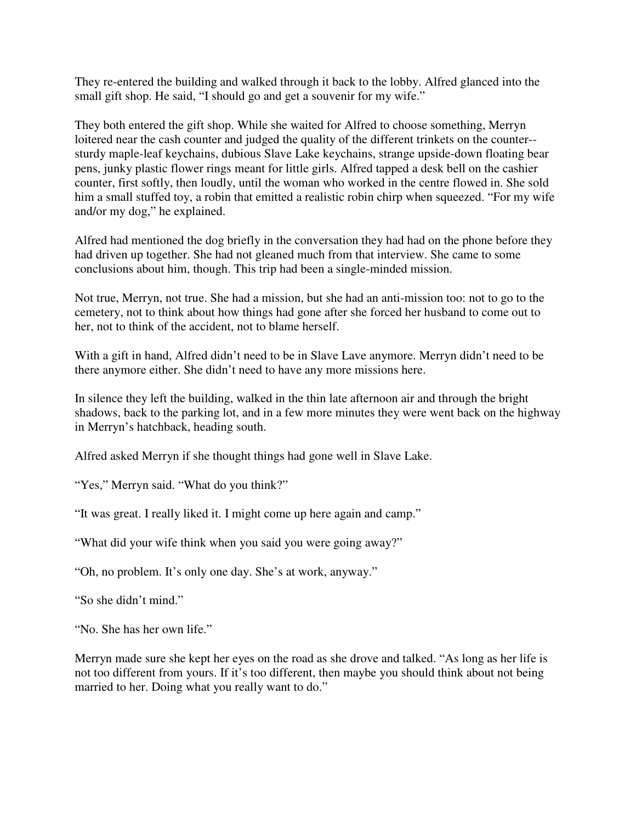They re-entered the building and walked through it back to the lobby. Alfred glanced into the small gift shop. He said, "I should go and get a souvenir for my wife."

They both entered the gift shop. While she waited for Alfred to choose something, Merryn loitered near the cash counter and judged the quality of the different trinkets on the counter- sturdy maple-leaf keychains, dubious Slave Lake keychains, strange upside-down floating bear pens, junky plastic flower rings meant for little girls. Alfred tapped a desk bell on the cashier counter, first softly, then loudly, until the woman who worked in the centre flowed in. She sold him a small stuffed toy, a robin that emitted a realistic robin chirp when squeezed. "For my wife and/or my dog," he explained.

Alfred had mentioned the dog briefly in the conversation they had had on the phone before they had driven up together. She had not gleaned much from that interview. She came to some conclusions about him, though. This trip had been a single-minded mission.

Not true, Merryn, not true. She had a mission, but she had an anti-mission too: not to go to the cemetery, not to think about how things had gone after she forced her husband to come out to her, not to think of the accident, not to blame herself.

With a gift in hand, Alfred didn't need to be in Slave Lave anymore. Merryn didn't need to be there anymore either. She didn't need to have any more missions here.

In silence they left the building, walked in the thin late afternoon air and through the bright shadows, back to the parking lot, and in a few more minutes they were went back on the highway in Merryn's hatchback, heading south.

Alfred asked Merryn if she thought things had gone well in Slave Lake.

"Yes," Merryn said. "What do you think?"

"It was great. I really liked it. I might come up here again and camp."

"What did your wife think when you said you were going away?"

"Oh, no problem. It's only one day. She's at work, anyway."

"So she didn't mind."

"No. She has her own life."

Merryn made sure she kept her eyes on the road as she drove and talked. "As long as her life is not too different from yours. If it's too different, then maybe you should think about not being married to her. Doing what you really want to do."